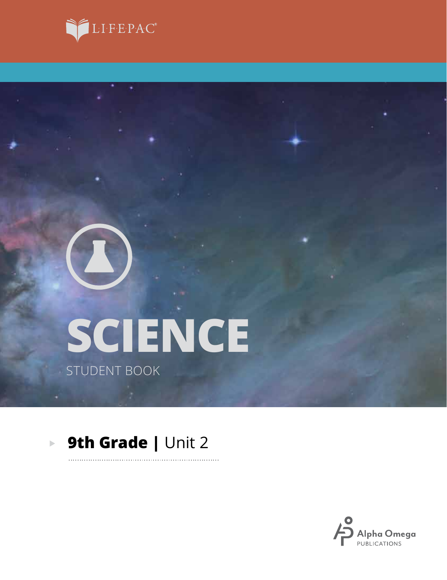



# **SCIENCE** STUDENT BOOK

#### **9th Grade | Unit 2**  $\blacktriangleright$

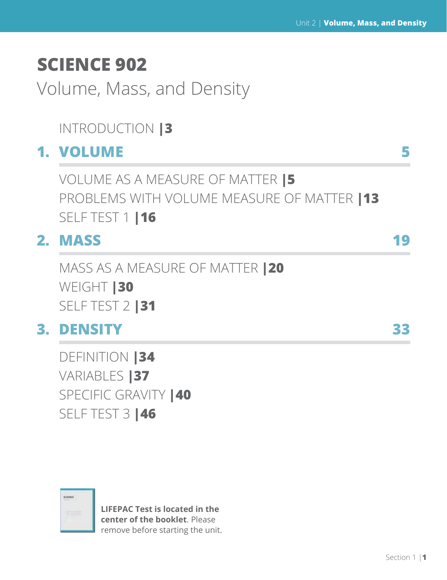# **SCIENCE 902**

Volume, Mass, and Density

## INTRODUCTION **|3**

### **1. VOLUME 5**

VOLUME AS A MEASURE OF MATTER **|5** PROBLEMS WITH VOLUME MEASURE OF MATTER **|13** SELF TEST 1 **|16**

# **2. MASS 19**

MASS AS A MEASURE OF MATTER **|20** WEIGHT **|30** SELF TEST 2 **|31**

## **3. DENSITY 33**

DEFINITION **|34** VARIABLES **|37** SPECIFIC GRAVITY **|40** SELF TEST 3 **|46**



**LIFEPAC Test is located in the center of the booklet**. Please remove before starting the unit.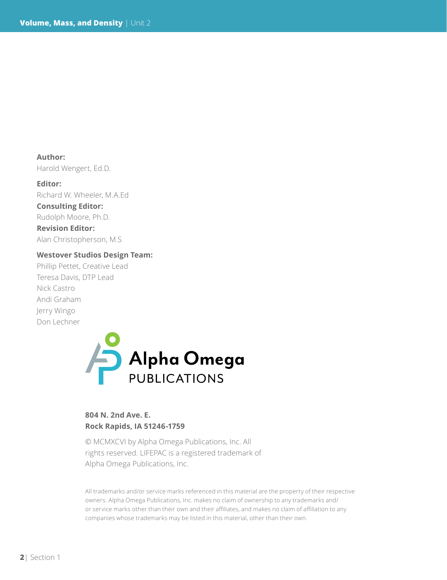**Author:**  Harold Wengert, Ed.D.

**Editor:** Richard W. Wheeler, M.A.Ed **Consulting Editor:** Rudolph Moore, Ph.D. **Revision Editor:**

Alan Christopherson, M.S

#### **Westover Studios Design Team:**

Phillip Pettet, Creative Lead Teresa Davis, DTP Lead Nick Castro Andi Graham Jerry Wingo Don Lechner



### **804 N. 2nd Ave. E. Rock Rapids, IA 51246-1759**

© MCMXCVI by Alpha Omega Publications, Inc. All rights reserved. LIFEPAC is a registered trademark of Alpha Omega Publications, Inc.

All trademarks and/or service marks referenced in this material are the property of their respective owners. Alpha Omega Publications, Inc. makes no claim of ownership to any trademarks and/ or service marks other than their own and their affiliates, and makes no claim of affiliation to any companies whose trademarks may be listed in this material, other than their own.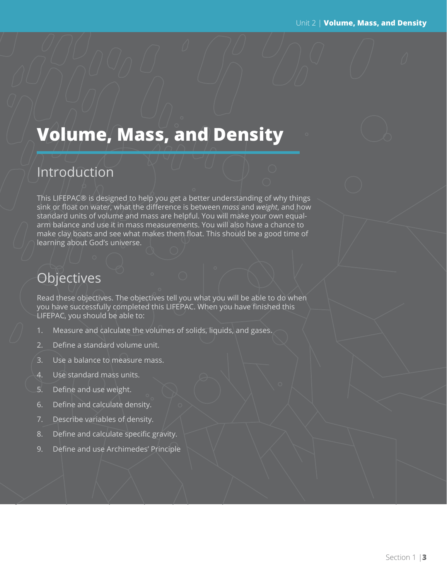# **Volume, Mass, and Density**

### Introduction

This LIFEPAC® is designed to help you get a better understanding of why things sink or float on water, what the difference is between *mass* and *weight*, and how standard units of volume and mass are helpful. You will make your own equalarm balance and use it in mass measurements. You will also have a chance to make clay boats and see what makes them float. This should be a good time of learning about God's universe.

### **Objectives**

Read these objectives. The objectives tell you what you will be able to do when you have successfully completed this LIFEPAC. When you have finished this LIFEPAC, you should be able to:

- 1. Measure and calculate the volumes of solids, liquids, and gases.
- 2. Define a standard volume unit.
- 3. Use a balance to measure mass.
- 4. Use standard mass units.
- 5. Define and use weight.
- 6. Define and calculate density.
- 7. Describe variables of density.
- 8. Define and calculate specific gravity.
- 9. Define and use Archimedes' Principle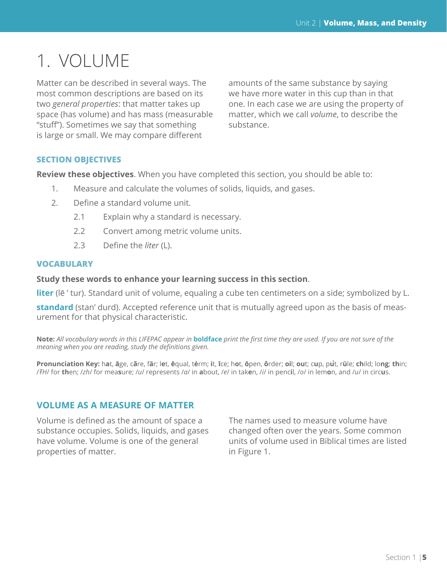# 1. VOLUME

Matter can be described in several ways. The most common descriptions are based on its two *general properties*: that matter takes up space (has volume) and has mass (measurable "stuff"). Sometimes we say that something is large or small. We may compare different

amounts of the same substance by saying we have more water in this cup than in that one. In each case we are using the property of matter, which we call *volume*, to describe the substance.

### **SECTION OBJECTIVES**

**Review these objectives**. When you have completed this section, you should be able to:

- 1. Measure and calculate the volumes of solids, liquids, and gases.
- 2. Define a standard volume unit.
	- 2.1 Explain why a standard is necessary.
	- 2.2 Convert among metric volume units.
	- 2.3 Define the *liter* (L).

#### **VOCABULARY**

**Study these words to enhance your learning success in this section**.

**liter** (lē' tur). Standard unit of volume, equaling a cube ten centimeters on a side; symbolized by L.

**standard** (stan' durd). Accepted reference unit that is mutually agreed upon as the basis of measurement for that physical characteristic.

**Note:** *All vocabulary words in this LIFEPAC appear in* **boldface** *print the first time they are used. If you are not sure of the meaning when you are reading, study the definitions given.*

Pronunciation Key: hat, āge, cãre, fär; let, ēqual, tėrm; it, īce; hot, ōpen, ôrder; oil; out; cup, put, rüle; child; long; thin; /FH/ for then; /zh/ for measure; /u/ represents /a/ in about, /e/ in taken, /i/ in pencil, /o/ in lemon, and /u/ in circus.

### **VOLUME AS A MEASURE OF MATTER**

Volume is defined as the amount of space a substance occupies. Solids, liquids, and gases have volume. Volume is one of the general properties of matter.

The names used to measure volume have changed often over the years. Some common units of volume used in Biblical times are listed in Figure 1.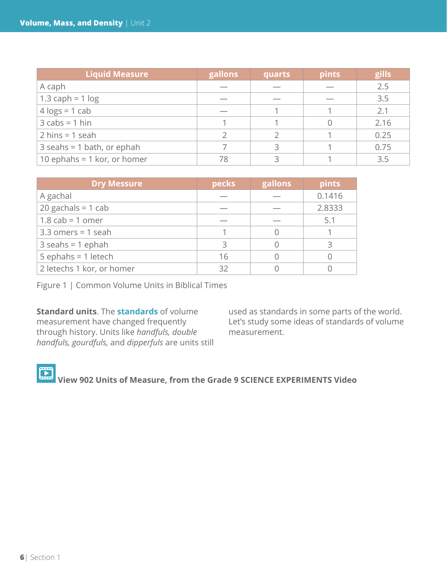| <b>Liquid Measure</b>             | gallons | quarts | pints | gills |
|-----------------------------------|---------|--------|-------|-------|
| A caph                            |         |        |       | 2.5   |
| 1.3 caph = $1 log$                |         |        |       | 3.5   |
| $4 \text{ logs} = 1 \text{ cab}$  |         |        |       | 2.1   |
| $3 \text{ cabs} = 1 \text{ hin}$  |         |        |       | 2.16  |
| $2 \text{ hins} = 1 \text{ seal}$ |         |        |       | 0.25  |
| $3$ seahs = 1 bath, or ephah      |         |        |       | 0.75  |
| 10 ephahs = $1$ kor, or homer     | 78      |        |       | 3.5   |

| <b>Dry Messure</b>        | pecks | gallons | pints  |
|---------------------------|-------|---------|--------|
| A gachal                  |       |         | 0.1416 |
| $20$ gachals = 1 cab      |       |         | 2.8333 |
| $1.8$ cab = 1 omer        |       |         | 5.1    |
| $3.3$ omers = 1 seah      |       |         |        |
| $3$ seahs = 1 ephah       | Κ     |         |        |
| $5$ ephahs = 1 letech     | 16    |         |        |
| 2 letechs 1 kor, or homer | 32    |         |        |

Figure 1 | Common Volume Units in Biblical Times

**Standard units**. The **standards** of volume measurement have changed frequently through history. Units like *handfuls, double handfuls, gourdfuls,* and *dipperfuls* are units still used as standards in some parts of the world. Let's study some ideas of standards of volume measurement.

 **View 902 Units of Measure, from the Grade 9 SCIENCE EXPERIMENTS Video**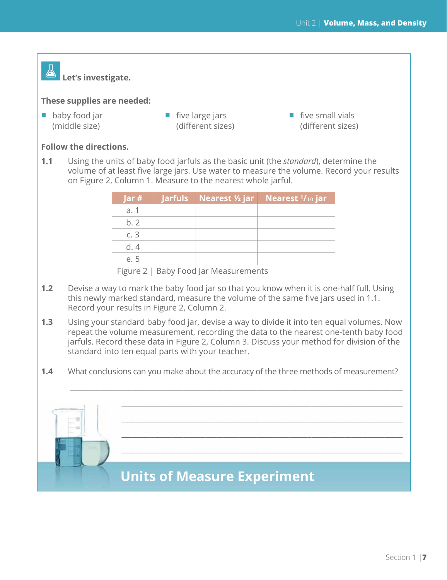### Á  **Let's investigate.**

#### **These supplies are needed:**

- baby food jar (middle size)
- $\blacksquare$  five large jars (different sizes)
- $\blacksquare$  five small vials (different sizes)

### **Follow the directions.**

**1.1** Using the units of baby food jarfuls as the basic unit (the *standard*), determine the volume of at least five large jars. Use water to measure the volume. Record your results on Figure 2, Column 1. Measure to the nearest whole jarful.

| Jar# |  | <b>Jarfuls</b> Nearest ½ jar Nearest 1/10 jar |
|------|--|-----------------------------------------------|
| a. 1 |  |                                               |
| b.2  |  |                                               |
| c.3  |  |                                               |
| d.4  |  |                                               |
| e. 5 |  |                                               |

Figure 2 | Baby Food Jar Measurements

- **1.2** Devise a way to mark the baby food jar so that you know when it is one-half full. Using this newly marked standard, measure the volume of the same five jars used in 1.1. Record your results in Figure 2, Column 2.
- **1.3** Using your standard baby food jar, devise a way to divide it into ten equal volumes. Now repeat the volume measurement, recording the data to the nearest one-tenth baby food jarfuls. Record these data in Figure 2, Column 3. Discuss your method for division of the standard into ten equal parts with your teacher.
- **1.4** What conclusions can you make about the accuracy of the three methods of measurement?

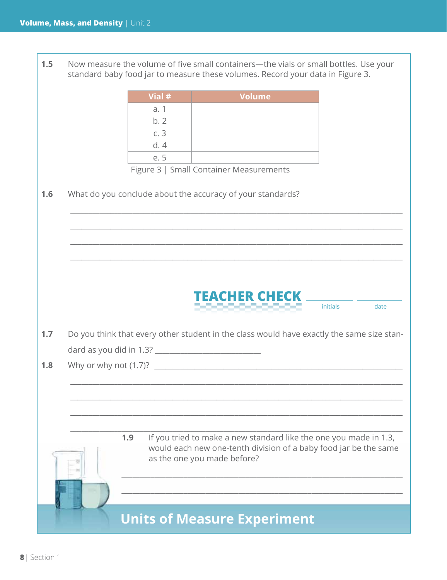| 1.5 |        | Now measure the volume of five small containers-the vials or small bottles. Use your<br>standard baby food jar to measure these volumes. Record your data in Figure 3. |                  |
|-----|--------|------------------------------------------------------------------------------------------------------------------------------------------------------------------------|------------------|
|     | Vial # | <b>Volume</b>                                                                                                                                                          |                  |
|     | a. 1   |                                                                                                                                                                        |                  |
|     | b.2    |                                                                                                                                                                        |                  |
|     | c.3    |                                                                                                                                                                        |                  |
|     | d.4    |                                                                                                                                                                        |                  |
|     | e. 5   |                                                                                                                                                                        |                  |
|     |        | Figure 3   Small Container Measurements                                                                                                                                |                  |
| 1.6 |        | What do you conclude about the accuracy of your standards?                                                                                                             |                  |
|     |        |                                                                                                                                                                        |                  |
| 1.7 |        | EACHER CHECK<br>,,,,,,,,,,,,,<br>Do you think that every other student in the class would have exactly the same size stan-                                             | initials<br>date |
|     |        |                                                                                                                                                                        |                  |
| 1.8 |        |                                                                                                                                                                        |                  |
|     |        |                                                                                                                                                                        |                  |
|     | 1.9    | If you tried to make a new standard like the one you made in 1.3,<br>would each new one-tenth division of a baby food jar be the same<br>as the one you made before?   |                  |
|     |        | <b>Units of Measure Experiment</b>                                                                                                                                     |                  |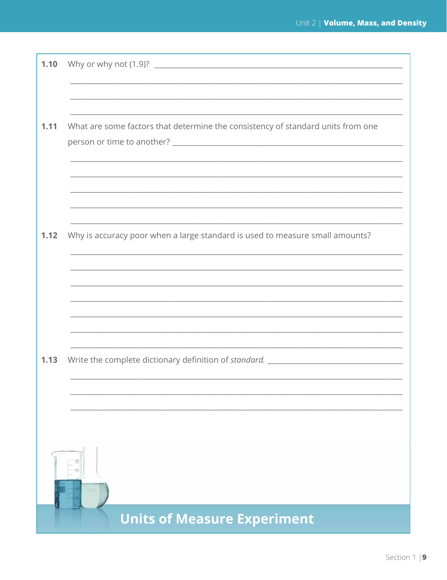| 1.10 |                                                                                  |
|------|----------------------------------------------------------------------------------|
|      |                                                                                  |
|      |                                                                                  |
|      |                                                                                  |
| 1.11 | What are some factors that determine the consistency of standard units from one  |
|      |                                                                                  |
|      |                                                                                  |
|      |                                                                                  |
|      |                                                                                  |
|      |                                                                                  |
|      |                                                                                  |
| 1.12 | Why is accuracy poor when a large standard is used to measure small amounts?     |
|      |                                                                                  |
|      |                                                                                  |
|      |                                                                                  |
|      |                                                                                  |
|      |                                                                                  |
|      |                                                                                  |
|      |                                                                                  |
| 1.13 | Write the complete dictionary definition of standard. __________________________ |
|      |                                                                                  |
|      |                                                                                  |
|      |                                                                                  |
|      |                                                                                  |
|      |                                                                                  |
|      |                                                                                  |
|      |                                                                                  |
|      |                                                                                  |
|      |                                                                                  |
|      | <b>Units of Measure Experiment</b>                                               |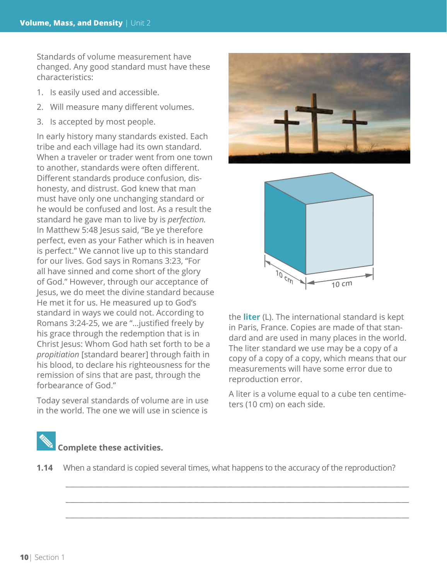Standards of volume measurement have changed. Any good standard must have these characteristics:

- 1. Is easily used and accessible.
- 2. Will measure many different volumes.
- 3. Is accepted by most people.

In early history many standards existed. Each tribe and each village had its own standard. When a traveler or trader went from one town to another, standards were often different. Different standards produce confusion, dishonesty, and distrust. God knew that man must have only one unchanging standard or he would be confused and lost. As a result the standard he gave man to live by is *perfection.*  In Matthew 5:48 Jesus said, "Be ye therefore perfect, even as your Father which is in heaven is perfect." We cannot live up to this standard for our lives. God says in Romans 3:23, "For all have sinned and come short of the glory of God." However, through our acceptance of Jesus, we do meet the divine standard because He met it for us. He measured up to God's standard in ways we could not. According to Romans 3:24-25, we are "…justified freely by his grace through the redemption that is in Christ Jesus: Whom God hath set forth to be a *propitiation* [standard bearer] through faith in his blood, to declare his righteousness for the remission of sins that are past, through the forbearance of God."

Today several standards of volume are in use in the world. The one we will use in science is





the **liter** (L). The international standard is kept in Paris, France. Copies are made of that standard and are used in many places in the world. The liter standard we use may be a copy of a copy of a copy of a copy, which means that our measurements will have some error due to reproduction error.

A liter is a volume equal to a cube ten centimeters (10 cm) on each side.

# **Complete these activities.**

**1.14** When a standard is copied several times, what happens to the accuracy of the reproduction?

\_\_\_\_\_\_\_\_\_\_\_\_\_\_\_\_\_\_\_\_\_\_\_\_\_\_\_\_\_\_\_\_\_\_\_\_\_\_\_\_\_\_\_\_\_\_\_\_\_\_\_\_\_\_\_\_\_\_\_\_\_\_\_\_\_\_\_\_\_\_\_\_\_\_\_\_\_\_\_\_\_\_\_\_\_\_\_\_\_\_\_\_\_\_

\_\_\_\_\_\_\_\_\_\_\_\_\_\_\_\_\_\_\_\_\_\_\_\_\_\_\_\_\_\_\_\_\_\_\_\_\_\_\_\_\_\_\_\_\_\_\_\_\_\_\_\_\_\_\_\_\_\_\_\_\_\_\_\_\_\_\_\_\_\_\_\_\_\_\_\_\_\_\_\_\_\_\_\_\_\_\_\_\_\_\_\_\_\_

\_\_\_\_\_\_\_\_\_\_\_\_\_\_\_\_\_\_\_\_\_\_\_\_\_\_\_\_\_\_\_\_\_\_\_\_\_\_\_\_\_\_\_\_\_\_\_\_\_\_\_\_\_\_\_\_\_\_\_\_\_\_\_\_\_\_\_\_\_\_\_\_\_\_\_\_\_\_\_\_\_\_\_\_\_\_\_\_\_\_\_\_\_\_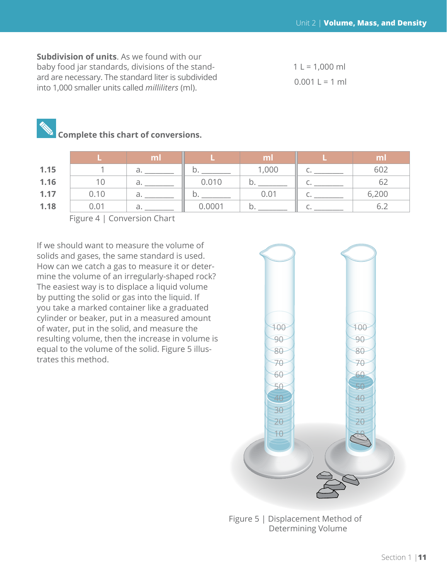**Subdivision of units**. As we found with our baby food jar standards, divisions of the standard are necessary. The standard liter is subdivided into 1,000 smaller units called *milliliters* (ml).

 $1 L = 1,000 ml$  $0.001 L = 1 ml$ 

### **Complete this chart of conversions.**

|      |      | ml |        | ml    | ml    |
|------|------|----|--------|-------|-------|
| 1.15 |      | a. |        | 1,000 | 602   |
| 1.16 |      | d. | 0.010  |       | 62    |
| 1.17 | 0.10 | a. |        | 0.01  | 6,200 |
| 1.18 | 0.01 | d. | 0.0001 |       |       |

Figure 4 | Conversion Chart

If we should want to measure the volume of solids and gases, the same standard is used. How can we catch a gas to measure it or determine the volume of an irregularly-shaped rock? The easiest way is to displace a liquid volume by putting the solid or gas into the liquid. If you take a marked container like a graduated cylinder or beaker, put in a measured amount of water, put in the solid, and measure the resulting volume, then the increase in volume is equal to the volume of the solid. Figure 5 illustrates this method.



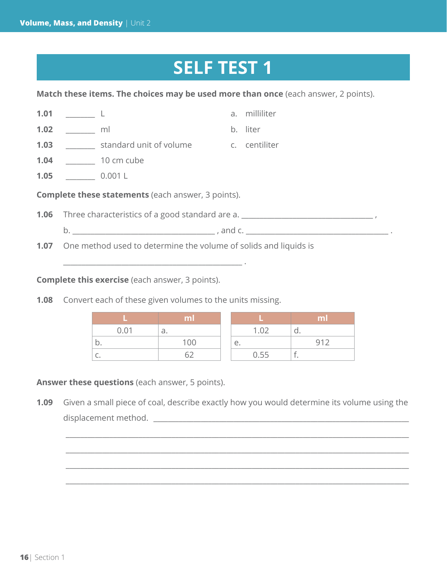# **SELF TEST 1**

**Match these items. The choices may be used more than once** (each answer, 2 points).

| 1.01                                                      |                                                                       |                                                                                        |  | a. milliliter                   |  |  |
|-----------------------------------------------------------|-----------------------------------------------------------------------|----------------------------------------------------------------------------------------|--|---------------------------------|--|--|
| 1.02                                                      | <u>ml</u>                                                             |                                                                                        |  | b. liter                        |  |  |
| 1.03                                                      |                                                                       | standard unit of volume c. centiliter                                                  |  |                                 |  |  |
| 1.04                                                      |                                                                       | 10 cm cube                                                                             |  |                                 |  |  |
|                                                           | 1.05 $\qquad \qquad 0.001 L$                                          |                                                                                        |  |                                 |  |  |
| <b>Complete these statements</b> (each answer, 3 points). |                                                                       |                                                                                        |  |                                 |  |  |
|                                                           |                                                                       | <b>1.06</b> Three characteristics of a good standard are a. __________________________ |  |                                 |  |  |
|                                                           |                                                                       |                                                                                        |  | $\mathsf{b.}$ and $\mathsf{c.}$ |  |  |
|                                                           | 1.07 One method used to determine the volume of solids and liquids is |                                                                                        |  |                                 |  |  |

**Complete this exercise** (each answer, 3 points).

**1.08** Convert each of these given volumes to the units missing.

\_\_\_\_\_\_\_\_\_\_\_\_\_\_\_\_\_\_\_\_\_\_\_\_\_\_\_\_\_\_\_\_\_\_\_\_\_\_\_\_\_\_\_\_\_\_\_\_\_ .

|      | ml  |      | ml  |
|------|-----|------|-----|
| 0.01 | a.  | 1.02 | u   |
| IJ.  | 100 | е.   | 912 |
| ◡    |     | 0.55 |     |

**Answer these questions** (each answer, 5 points).

**1.09** Given a small piece of coal, describe exactly how you would determine its volume using the displacement method. \_\_\_\_\_\_\_\_\_\_\_\_\_\_\_\_\_\_\_\_\_\_\_\_\_\_\_\_\_\_\_\_\_\_\_\_\_\_\_\_\_\_\_\_\_\_\_\_\_\_\_\_\_\_\_\_\_\_\_\_\_\_\_\_\_\_\_\_\_\_

\_\_\_\_\_\_\_\_\_\_\_\_\_\_\_\_\_\_\_\_\_\_\_\_\_\_\_\_\_\_\_\_\_\_\_\_\_\_\_\_\_\_\_\_\_\_\_\_\_\_\_\_\_\_\_\_\_\_\_\_\_\_\_\_\_\_\_\_\_\_\_\_\_\_\_\_\_\_\_\_\_\_\_\_\_\_\_\_\_\_\_\_\_\_

\_\_\_\_\_\_\_\_\_\_\_\_\_\_\_\_\_\_\_\_\_\_\_\_\_\_\_\_\_\_\_\_\_\_\_\_\_\_\_\_\_\_\_\_\_\_\_\_\_\_\_\_\_\_\_\_\_\_\_\_\_\_\_\_\_\_\_\_\_\_\_\_\_\_\_\_\_\_\_\_\_\_\_\_\_\_\_\_\_\_\_\_\_\_

\_\_\_\_\_\_\_\_\_\_\_\_\_\_\_\_\_\_\_\_\_\_\_\_\_\_\_\_\_\_\_\_\_\_\_\_\_\_\_\_\_\_\_\_\_\_\_\_\_\_\_\_\_\_\_\_\_\_\_\_\_\_\_\_\_\_\_\_\_\_\_\_\_\_\_\_\_\_\_\_\_\_\_\_\_\_\_\_\_\_\_\_\_\_

\_\_\_\_\_\_\_\_\_\_\_\_\_\_\_\_\_\_\_\_\_\_\_\_\_\_\_\_\_\_\_\_\_\_\_\_\_\_\_\_\_\_\_\_\_\_\_\_\_\_\_\_\_\_\_\_\_\_\_\_\_\_\_\_\_\_\_\_\_\_\_\_\_\_\_\_\_\_\_\_\_\_\_\_\_\_\_\_\_\_\_\_\_\_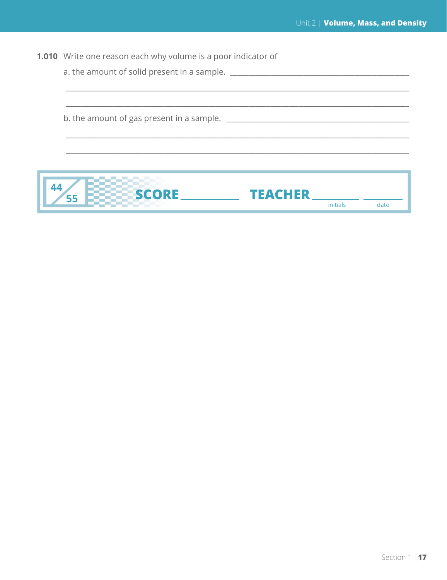| <b>1.010</b> Write one reason each why volume is a poor indicator of |  |  |
|----------------------------------------------------------------------|--|--|
|----------------------------------------------------------------------|--|--|

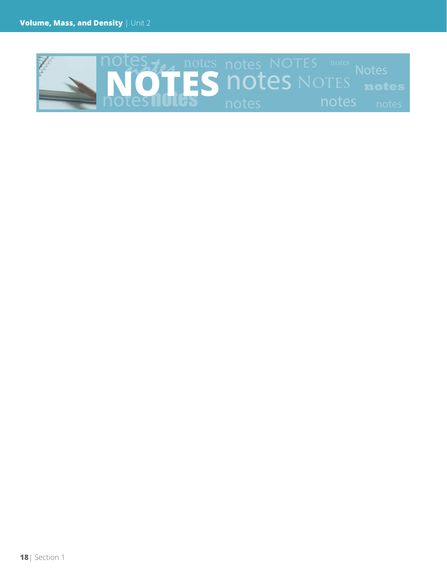